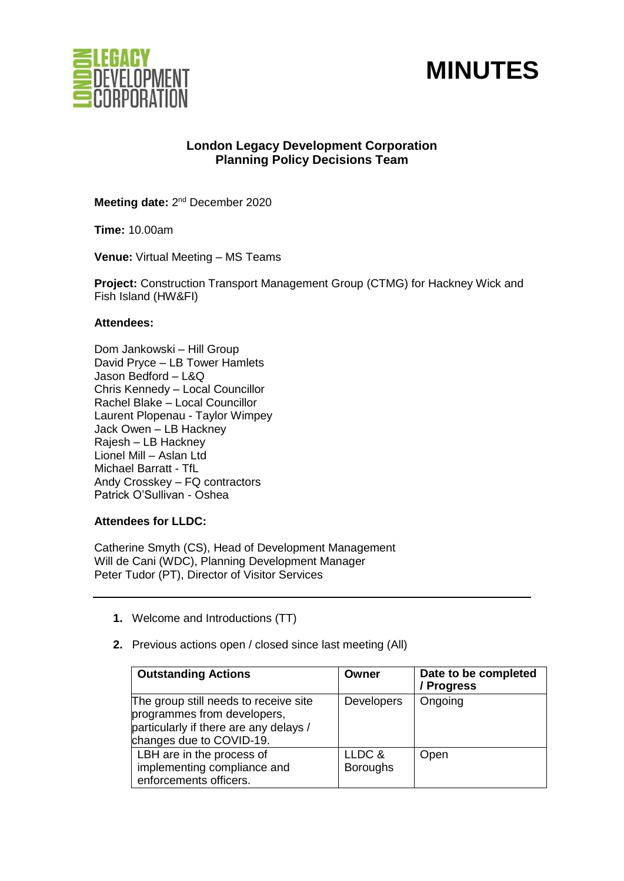



# **London Legacy Development Corporation Planning Policy Decisions Team**

Meeting date: 2<sup>nd</sup> December 2020

**Time:** 10.00am

**Venue:** Virtual Meeting – MS Teams

**Project:** Construction Transport Management Group (CTMG) for Hackney Wick and Fish Island (HW&FI)

#### **Attendees:**

Dom Jankowski – Hill Group David Pryce – LB Tower Hamlets Jason Bedford – L&Q Chris Kennedy – Local Councillor Rachel Blake – Local Councillor Laurent Plopenau - Taylor Wimpey Jack Owen – LB Hackney Rajesh – LB Hackney Lionel Mill – Aslan Ltd Michael Barratt - TfL Andy Crosskey – FQ contractors Patrick O'Sullivan - Oshea

## **Attendees for LLDC:**

Catherine Smyth (CS), Head of Development Management Will de Cani (WDC), Planning Development Manager Peter Tudor (PT), Director of Visitor Services

- **1.** Welcome and Introductions (TT)
- **2.** Previous actions open / closed since last meeting (All)

| <b>Outstanding Actions</b>                                                                                                                 | Owner                     | Date to be completed<br>/ Progress |
|--------------------------------------------------------------------------------------------------------------------------------------------|---------------------------|------------------------------------|
| The group still needs to receive site<br>programmes from developers,<br>particularly if there are any delays /<br>changes due to COVID-19. | <b>Developers</b>         | Ongoing                            |
| LBH are in the process of<br>implementing compliance and<br>enforcements officers.                                                         | LLDC &<br><b>Boroughs</b> | Open                               |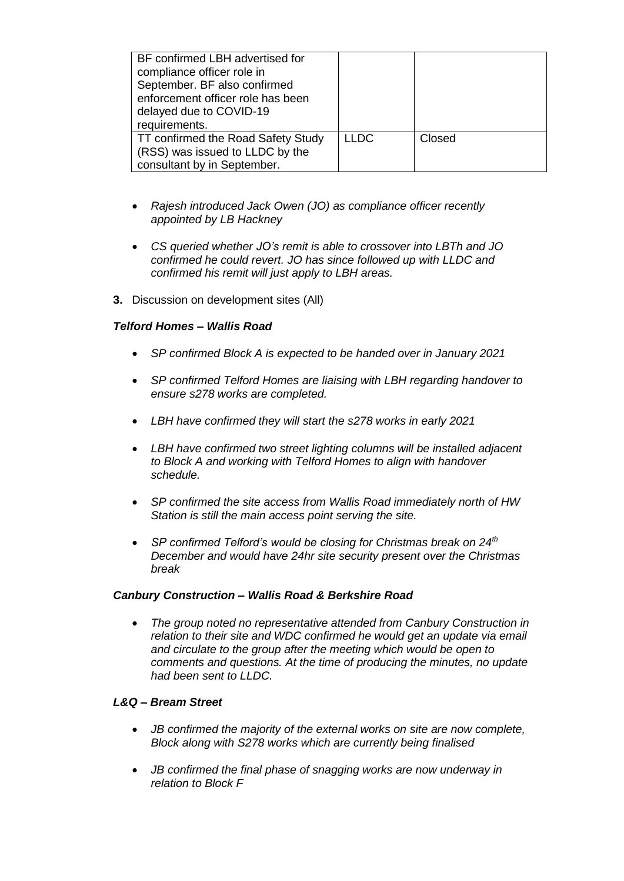| BF confirmed LBH advertised for<br>compliance officer role in<br>September. BF also confirmed<br>enforcement officer role has been<br>delayed due to COVID-19<br>requirements. |             |        |
|--------------------------------------------------------------------------------------------------------------------------------------------------------------------------------|-------------|--------|
| TT confirmed the Road Safety Study<br>(RSS) was issued to LLDC by the<br>consultant by in September.                                                                           | <b>LLDC</b> | Closed |

- *Rajesh introduced Jack Owen (JO) as compliance officer recently appointed by LB Hackney*
- *CS queried whether JO's remit is able to crossover into LBTh and JO confirmed he could revert. JO has since followed up with LLDC and confirmed his remit will just apply to LBH areas.*
- **3.** Discussion on development sites (All)

## *Telford Homes – Wallis Road*

- *SP confirmed Block A is expected to be handed over in January 2021*
- *SP confirmed Telford Homes are liaising with LBH regarding handover to ensure s278 works are completed.*
- *LBH have confirmed they will start the s278 works in early 2021*
- *LBH have confirmed two street lighting columns will be installed adjacent to Block A and working with Telford Homes to align with handover schedule.*
- *SP confirmed the site access from Wallis Road immediately north of HW Station is still the main access point serving the site.*
- *SP confirmed Telford's would be closing for Christmas break on 24th December and would have 24hr site security present over the Christmas break*

## *Canbury Construction – Wallis Road & Berkshire Road*

• *The group noted no representative attended from Canbury Construction in relation to their site and WDC confirmed he would get an update via email and circulate to the group after the meeting which would be open to comments and questions. At the time of producing the minutes, no update had been sent to LLDC.*

## *L&Q – Bream Street*

- *JB confirmed the majority of the external works on site are now complete, Block along with S278 works which are currently being finalised*
- *JB confirmed the final phase of snagging works are now underway in relation to Block F*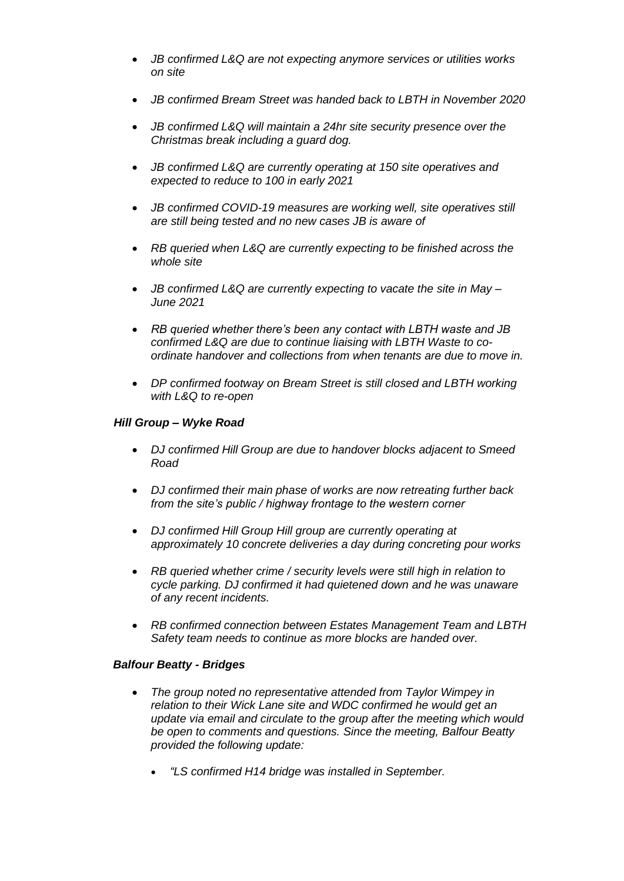- *JB confirmed L&Q are not expecting anymore services or utilities works on site*
- *JB confirmed Bream Street was handed back to LBTH in November 2020*
- *JB confirmed L&Q will maintain a 24hr site security presence over the Christmas break including a guard dog.*
- *JB confirmed L&Q are currently operating at 150 site operatives and expected to reduce to 100 in early 2021*
- *JB confirmed COVID-19 measures are working well, site operatives still are still being tested and no new cases JB is aware of*
- *RB queried when L&Q are currently expecting to be finished across the whole site*
- *JB confirmed L&Q are currently expecting to vacate the site in May – June 2021*
- *RB queried whether there's been any contact with LBTH waste and JB confirmed L&Q are due to continue liaising with LBTH Waste to coordinate handover and collections from when tenants are due to move in.*
- *DP confirmed footway on Bream Street is still closed and LBTH working with L&Q to re-open*

## *Hill Group – Wyke Road*

- *DJ confirmed Hill Group are due to handover blocks adjacent to Smeed Road*
- *DJ confirmed their main phase of works are now retreating further back from the site's public / highway frontage to the western corner*
- *DJ confirmed Hill Group Hill group are currently operating at approximately 10 concrete deliveries a day during concreting pour works*
- *RB queried whether crime / security levels were still high in relation to cycle parking. DJ confirmed it had quietened down and he was unaware of any recent incidents.*
- *RB confirmed connection between Estates Management Team and LBTH Safety team needs to continue as more blocks are handed over.*

#### *Balfour Beatty - Bridges*

- *The group noted no representative attended from Taylor Wimpey in relation to their Wick Lane site and WDC confirmed he would get an update via email and circulate to the group after the meeting which would be open to comments and questions. Since the meeting, Balfour Beatty provided the following update:* 
	- *"LS confirmed H14 bridge was installed in September.*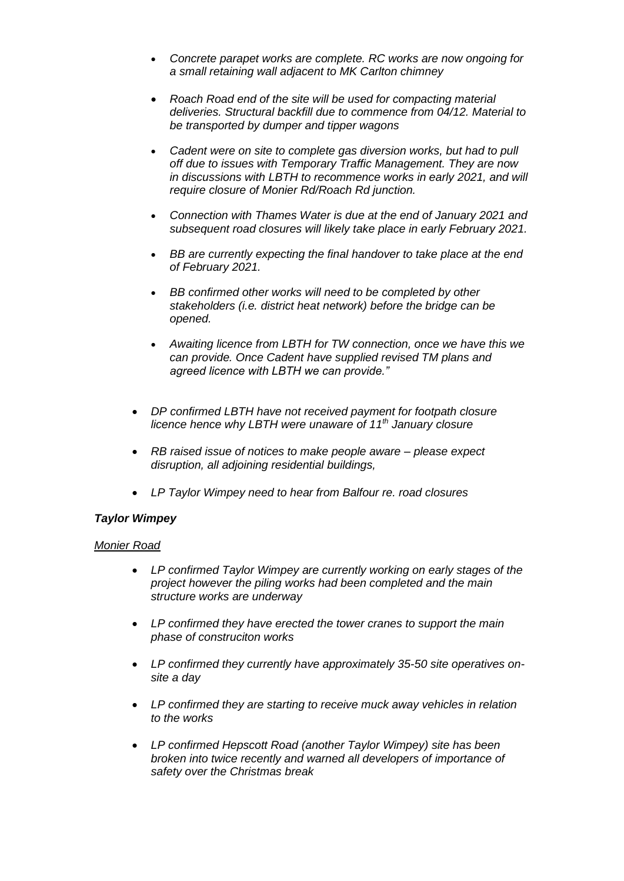- *Concrete parapet works are complete. RC works are now ongoing for a small retaining wall adjacent to MK Carlton chimney*
- *Roach Road end of the site will be used for compacting material deliveries. Structural backfill due to commence from 04/12. Material to be transported by dumper and tipper wagons*
- *Cadent were on site to complete gas diversion works, but had to pull off due to issues with Temporary Traffic Management. They are now in discussions with LBTH to recommence works in early 2021, and will require closure of Monier Rd/Roach Rd junction.*
- *Connection with Thames Water is due at the end of January 2021 and subsequent road closures will likely take place in early February 2021.*
- *BB are currently expecting the final handover to take place at the end of February 2021.*
- *BB confirmed other works will need to be completed by other stakeholders (i.e. district heat network) before the bridge can be opened.*
- *Awaiting licence from LBTH for TW connection, once we have this we can provide. Once Cadent have supplied revised TM plans and agreed licence with LBTH we can provide."*
- *DP confirmed LBTH have not received payment for footpath closure licence hence why LBTH were unaware of 11th January closure*
- *RB raised issue of notices to make people aware – please expect disruption, all adjoining residential buildings,*
- *LP Taylor Wimpey need to hear from Balfour re. road closures*

## *Taylor Wimpey*

## *Monier Road*

- *LP confirmed Taylor Wimpey are currently working on early stages of the project however the piling works had been completed and the main structure works are underway*
- *LP confirmed they have erected the tower cranes to support the main phase of construciton works*
- *LP confirmed they currently have approximately 35-50 site operatives onsite a day*
- *LP confirmed they are starting to receive muck away vehicles in relation to the works*
- *LP confirmed Hepscott Road (another Taylor Wimpey) site has been broken into twice recently and warned all developers of importance of safety over the Christmas break*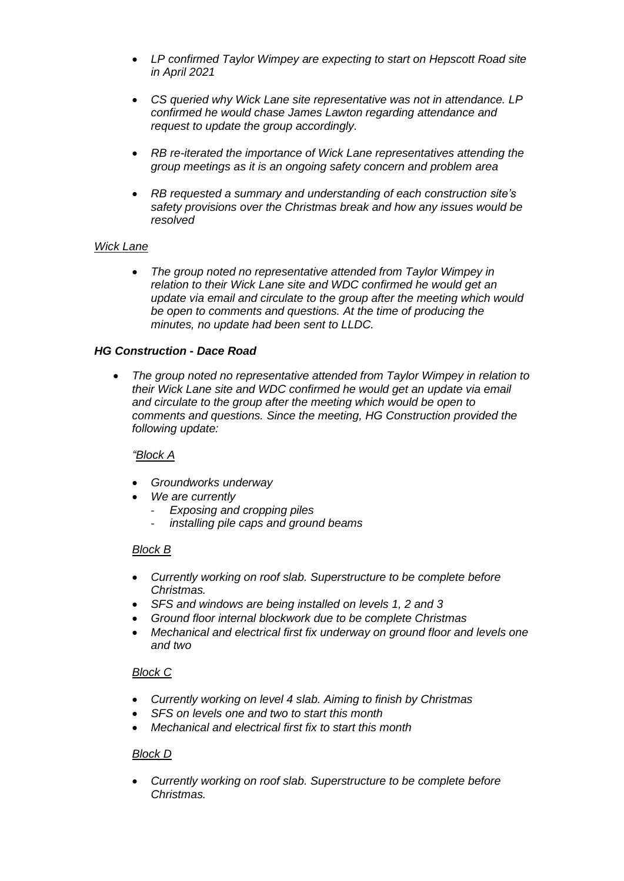- *LP confirmed Taylor Wimpey are expecting to start on Hepscott Road site in April 2021*
- *CS queried why Wick Lane site representative was not in attendance. LP confirmed he would chase James Lawton regarding attendance and request to update the group accordingly.*
- *RB re-iterated the importance of Wick Lane representatives attending the group meetings as it is an ongoing safety concern and problem area*
- *RB requested a summary and understanding of each construction site's safety provisions over the Christmas break and how any issues would be resolved*

## *Wick Lane*

• *The group noted no representative attended from Taylor Wimpey in relation to their Wick Lane site and WDC confirmed he would get an update via email and circulate to the group after the meeting which would be open to comments and questions. At the time of producing the minutes, no update had been sent to LLDC.*

## *HG Construction - Dace Road*

• *The group noted no representative attended from Taylor Wimpey in relation to their Wick Lane site and WDC confirmed he would get an update via email and circulate to the group after the meeting which would be open to comments and questions. Since the meeting, HG Construction provided the following update:* 

## *"Block A*

- *Groundworks underway*
- *We are currently* 
	- *Exposing and cropping piles* 
		- *installing pile caps and ground beams*

## *Block B*

- *Currently working on roof slab. Superstructure to be complete before Christmas.*
- *SFS and windows are being installed on levels 1, 2 and 3*
- *Ground floor internal blockwork due to be complete Christmas*
- *Mechanical and electrical first fix underway on ground floor and levels one and two*

## *Block C*

- *Currently working on level 4 slab. Aiming to finish by Christmas*
- *SFS on levels one and two to start this month*
- *Mechanical and electrical first fix to start this month*

## *Block D*

• *Currently working on roof slab. Superstructure to be complete before Christmas.*